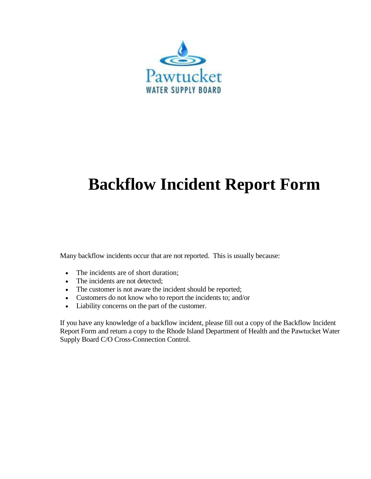

# **Backflow Incident Report Form**

Many backflow incidents occur that are not reported. This is usually because:

- The incidents are of short duration;
- The incidents are not detected;
- The customer is not aware the incident should be reported;
- Customers do not know who to report the incidents to; and/or
- Liability concerns on the part of the customer.

If you have any knowledge of a backflow incident, please fill out a copy of the Backflow Incident Report Form and return a copy to the Rhode Island Department of Health and the Pawtucket Water Supply Board C/O Cross-Connection Control.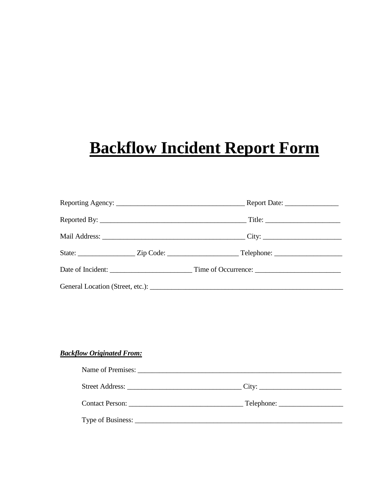# **Backflow Incident Report Form**

## **Backflow Originated From:**

| Name of Premises:                     |  |
|---------------------------------------|--|
|                                       |  |
| Contact Person: Telephone: Telephone: |  |
|                                       |  |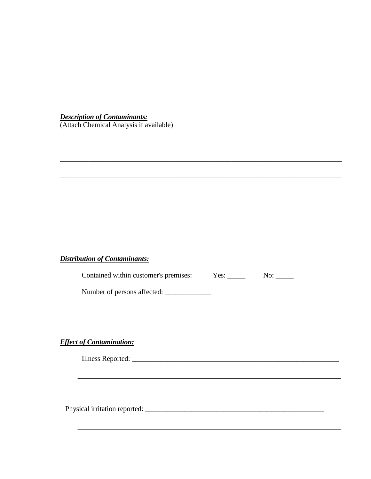*Description of Contaminants:* (Attach Chemical Analysis if available)

#### *Distribution of Contaminants:*

Contained within customer's premises: Yes: \_\_\_\_\_ No: \_\_\_\_

\_\_\_\_\_\_\_\_\_\_\_\_\_\_\_\_\_\_\_\_\_\_\_\_\_\_\_\_\_\_\_\_\_\_\_\_\_\_\_\_\_\_\_\_\_\_\_\_\_\_\_\_\_\_\_\_\_\_\_\_\_\_\_\_\_\_\_\_\_\_\_\_\_\_\_\_\_\_\_

\_\_\_\_\_\_\_\_\_\_\_\_\_\_\_\_\_\_\_\_\_\_\_\_\_\_\_\_\_\_\_\_\_\_\_\_\_\_\_\_\_\_\_\_\_\_\_\_\_\_\_\_\_\_\_\_\_\_\_\_\_\_\_\_\_\_\_\_\_\_\_\_\_\_\_\_\_\_\_

Number of persons affected: \_\_\_\_\_\_\_\_\_\_\_\_\_

*Effect of Contamination:*

Illness Reported: \_\_\_\_\_\_\_\_\_\_\_\_\_\_\_\_\_\_\_\_\_\_\_\_\_\_\_\_\_\_\_\_\_\_\_\_\_\_\_\_\_\_\_\_\_\_\_\_\_\_\_\_\_\_\_\_\_\_

Physical irritation reported: \_\_\_\_\_\_\_\_\_\_\_\_\_\_\_\_\_\_\_\_\_\_\_\_\_\_\_\_\_\_\_\_\_\_\_\_\_\_\_\_\_\_\_\_\_\_\_\_\_\_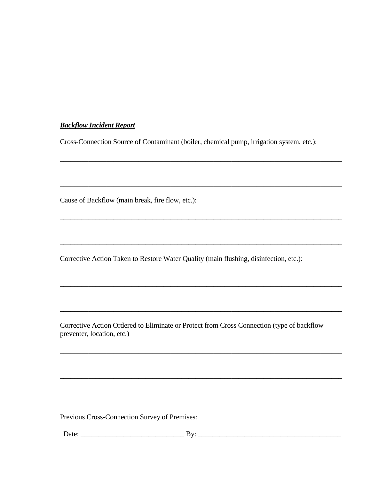### *Backflow Incident Report*

Cross-Connection Source of Contaminant (boiler, chemical pump, irrigation system, etc.):

\_\_\_\_\_\_\_\_\_\_\_\_\_\_\_\_\_\_\_\_\_\_\_\_\_\_\_\_\_\_\_\_\_\_\_\_\_\_\_\_\_\_\_\_\_\_\_\_\_\_\_\_\_\_\_\_\_\_\_\_\_\_\_\_\_\_\_\_\_\_\_\_\_\_\_\_\_\_\_

\_\_\_\_\_\_\_\_\_\_\_\_\_\_\_\_\_\_\_\_\_\_\_\_\_\_\_\_\_\_\_\_\_\_\_\_\_\_\_\_\_\_\_\_\_\_\_\_\_\_\_\_\_\_\_\_\_\_\_\_\_\_\_\_\_\_\_\_\_\_\_\_\_\_\_\_\_\_\_

\_\_\_\_\_\_\_\_\_\_\_\_\_\_\_\_\_\_\_\_\_\_\_\_\_\_\_\_\_\_\_\_\_\_\_\_\_\_\_\_\_\_\_\_\_\_\_\_\_\_\_\_\_\_\_\_\_\_\_\_\_\_\_\_\_\_\_\_\_\_\_\_\_\_\_\_\_\_\_

\_\_\_\_\_\_\_\_\_\_\_\_\_\_\_\_\_\_\_\_\_\_\_\_\_\_\_\_\_\_\_\_\_\_\_\_\_\_\_\_\_\_\_\_\_\_\_\_\_\_\_\_\_\_\_\_\_\_\_\_\_\_\_\_\_\_\_\_\_\_\_\_\_\_\_\_\_\_\_

\_\_\_\_\_\_\_\_\_\_\_\_\_\_\_\_\_\_\_\_\_\_\_\_\_\_\_\_\_\_\_\_\_\_\_\_\_\_\_\_\_\_\_\_\_\_\_\_\_\_\_\_\_\_\_\_\_\_\_\_\_\_\_\_\_\_\_\_\_\_\_\_\_\_\_\_\_\_\_

Cause of Backflow (main break, fire flow, etc.):

Corrective Action Taken to Restore Water Quality (main flushing, disinfection, etc.):

Corrective Action Ordered to Eliminate or Protect from Cross Connection (type of backflow preventer, location, etc.)

\_\_\_\_\_\_\_\_\_\_\_\_\_\_\_\_\_\_\_\_\_\_\_\_\_\_\_\_\_\_\_\_\_\_\_\_\_\_\_\_\_\_\_\_\_\_\_\_\_\_\_\_\_\_\_\_\_\_\_\_\_\_\_\_\_\_\_\_\_\_\_\_\_\_\_\_\_\_\_

\_\_\_\_\_\_\_\_\_\_\_\_\_\_\_\_\_\_\_\_\_\_\_\_\_\_\_\_\_\_\_\_\_\_\_\_\_\_\_\_\_\_\_\_\_\_\_\_\_\_\_\_\_\_\_\_\_\_\_\_\_\_\_\_\_\_\_\_\_\_\_\_\_\_\_\_\_\_\_

Previous Cross-Connection Survey of Premises:

Date: \_\_\_\_\_\_\_\_\_\_\_\_\_\_\_\_\_\_\_\_\_\_\_\_\_\_\_\_\_ By: \_\_\_\_\_\_\_\_\_\_\_\_\_\_\_\_\_\_\_\_\_\_\_\_\_\_\_\_\_\_\_\_\_\_\_\_\_\_\_\_